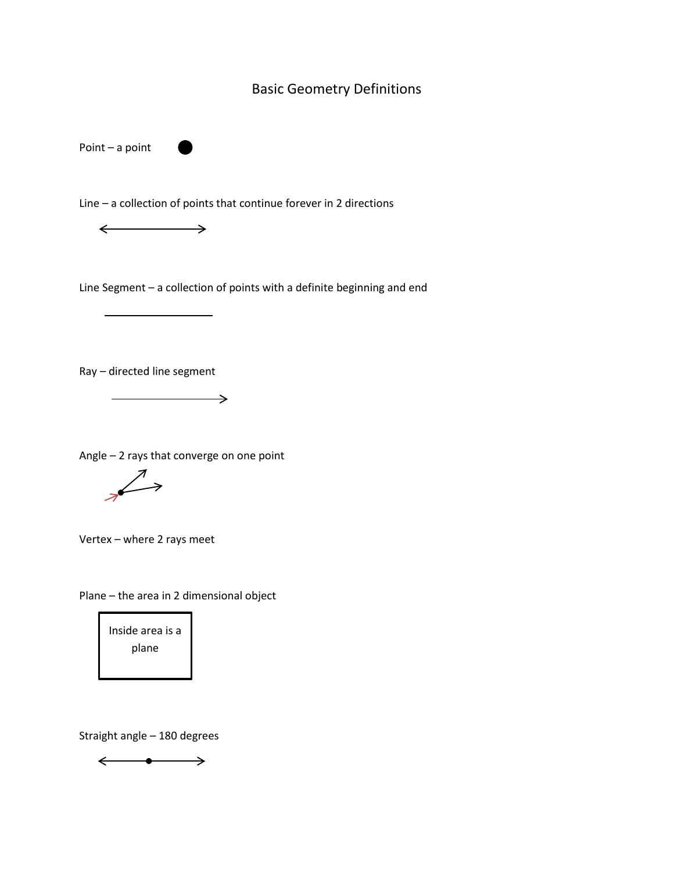## Basic Geometry Definitions

Point – a point

Line – a collection of points that continue forever in 2 directions

 $\leftarrow$  $\rightarrow$ 

Line Segment – a collection of points with a definite beginning and end

Ray – directed line segment

Angle – 2 rays that converge on one point

 $\overline{\phantom{a}}$ 

 $\overline{\mathscr{L}}$ 

Vertex – where 2 rays meet

Plane – the area in 2 dimensional object

Inside area is a plane

Straight angle – 180 degrees

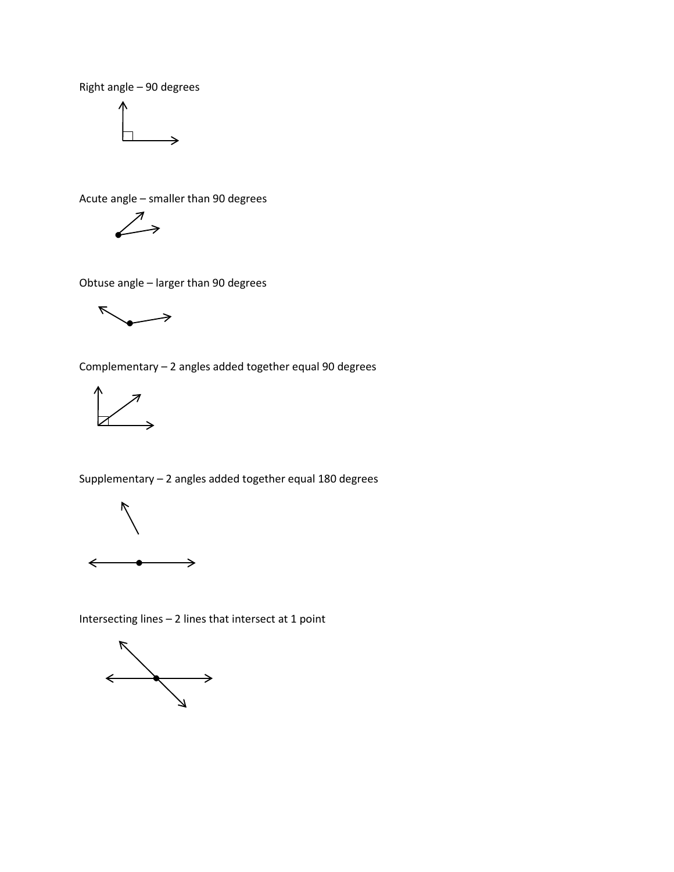Right angle – 90 degrees



Acute angle – smaller than 90 degrees

$$
\swarrow
$$

Obtuse angle – larger than 90 degrees

 $\blacktriangledown$ →

Complementary – 2 angles added together equal 90 degrees



Supplementary – 2 angles added together equal 180 degrees



Intersecting lines – 2 lines that intersect at 1 point

 $\begin{picture}(180,170)(-10,170)(-10,170)(-10,170)(-10,170)(-10,170)(-10,170)(-10,170)(-10,170)(-10,170)(-10,170)(-10,170)(-10,170)(-10,170)(-10,170)(-10,170)(-10,170)(-10,170)(-10,170)(-10,170)(-10,170)(-10,170)(-10,170)(-10,170)(-10,170)(-10,170)(-10,170$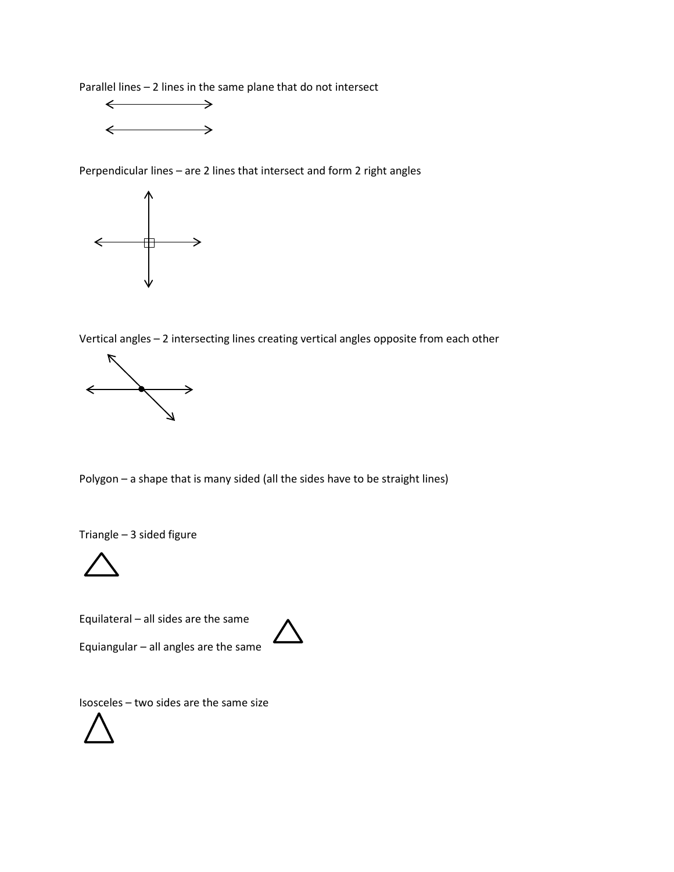Parallel lines – 2 lines in the same plane that do not intersect



Perpendicular lines – are 2 lines that intersect and form 2 right angles



Vertical angles – 2 intersecting lines creating vertical angles opposite from each other



Polygon – a shape that is many sided (all the sides have to be straight lines)

Triangle – 3 sided figure



Equilateral – all sides are the same

Equiangular – all angles are the same



Isosceles – two sides are the same size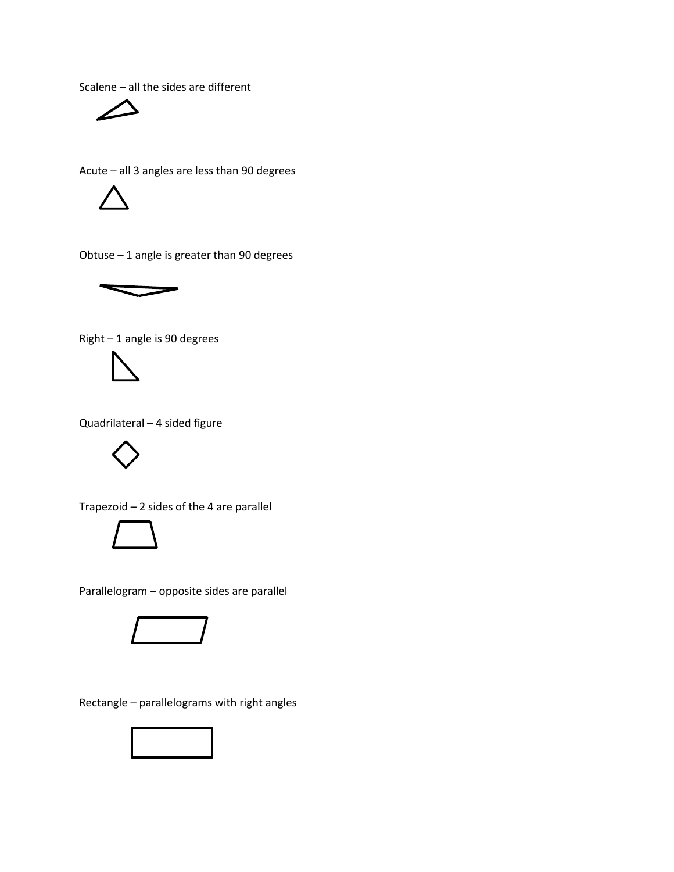Scalene – all the sides are different



Acute – all 3 angles are less than 90 degrees



Obtuse – 1 angle is greater than 90 degrees



Right – 1 angle is 90 degrees



Quadrilateral – 4 sided figure



Trapezoid – 2 sides of the 4 are parallel



Parallelogram – opposite sides are parallel



Rectangle – parallelograms with right angles